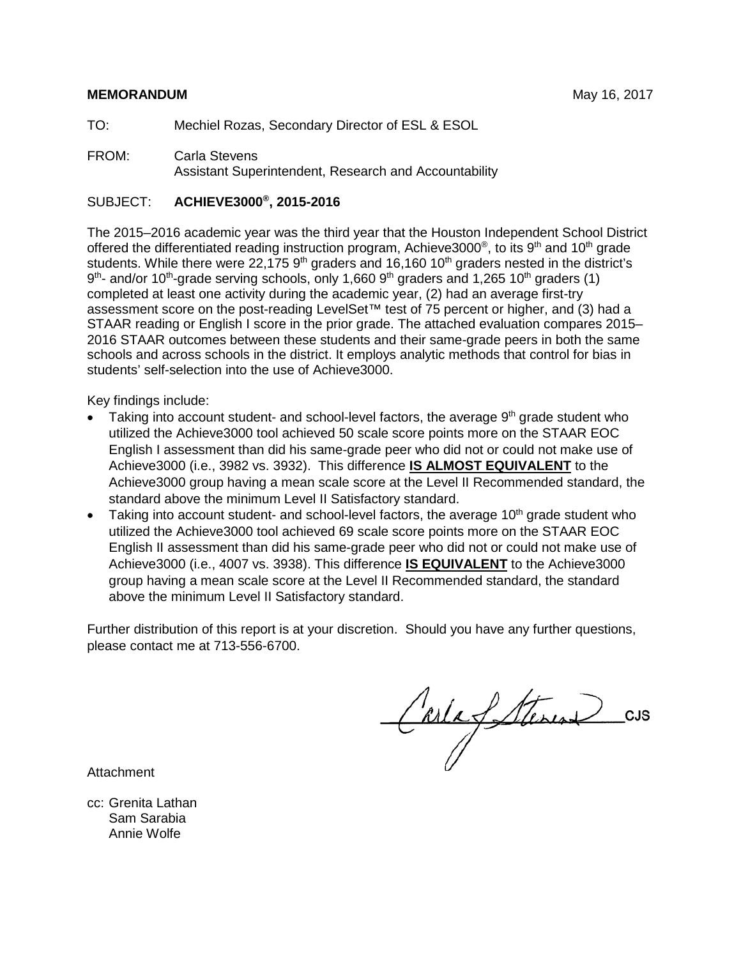# **MEMORANDUM** May 16, 2017

TO: Mechiel Rozas, Secondary Director of ESL & ESOL

FROM: Carla Stevens Assistant Superintendent, Research and Accountability

# SUBJECT: **ACHIEVE3000®, 2015-2016**

The 2015–2016 academic year was the third year that the Houston Independent School District offered the differentiated reading instruction program, Achieve3000<sup>®</sup>, to its 9<sup>th</sup> and 10<sup>th</sup> grade students. While there were 22,175  $9<sup>th</sup>$  graders and 16,160 10<sup>th</sup> graders nested in the district's 9<sup>th</sup>- and/or 10<sup>th</sup>-grade serving schools, only 1,660 9<sup>th</sup> graders and 1,265 10<sup>th</sup> graders (1) completed at least one activity during the academic year, (2) had an average first-try assessment score on the post-reading LevelSet™ test of 75 percent or higher, and (3) had a STAAR reading or English I score in the prior grade. The attached evaluation compares 2015– 2016 STAAR outcomes between these students and their same-grade peers in both the same schools and across schools in the district. It employs analytic methods that control for bias in students' self-selection into the use of Achieve3000.

Key findings include:

- Taking into account student- and school-level factors, the average  $9<sup>th</sup>$  grade student who utilized the Achieve3000 tool achieved 50 scale score points more on the STAAR EOC English I assessment than did his same-grade peer who did not or could not make use of Achieve3000 (i.e., 3982 vs. 3932). This difference **IS ALMOST EQUIVALENT** to the Achieve3000 group having a mean scale score at the Level II Recommended standard, the standard above the minimum Level II Satisfactory standard.
- Taking into account student- and school-level factors, the average  $10<sup>th</sup>$  grade student who utilized the Achieve3000 tool achieved 69 scale score points more on the STAAR EOC English II assessment than did his same-grade peer who did not or could not make use of Achieve3000 (i.e., 4007 vs. 3938). This difference **IS EQUIVALENT** to the Achieve3000 group having a mean scale score at the Level II Recommended standard, the standard above the minimum Level II Satisfactory standard.

Further distribution of this report is at your discretion. Should you have any further questions, please contact me at 713-556-6700.

Carlafterin CJS

**Attachment** 

cc: Grenita Lathan Sam Sarabia Annie Wolfe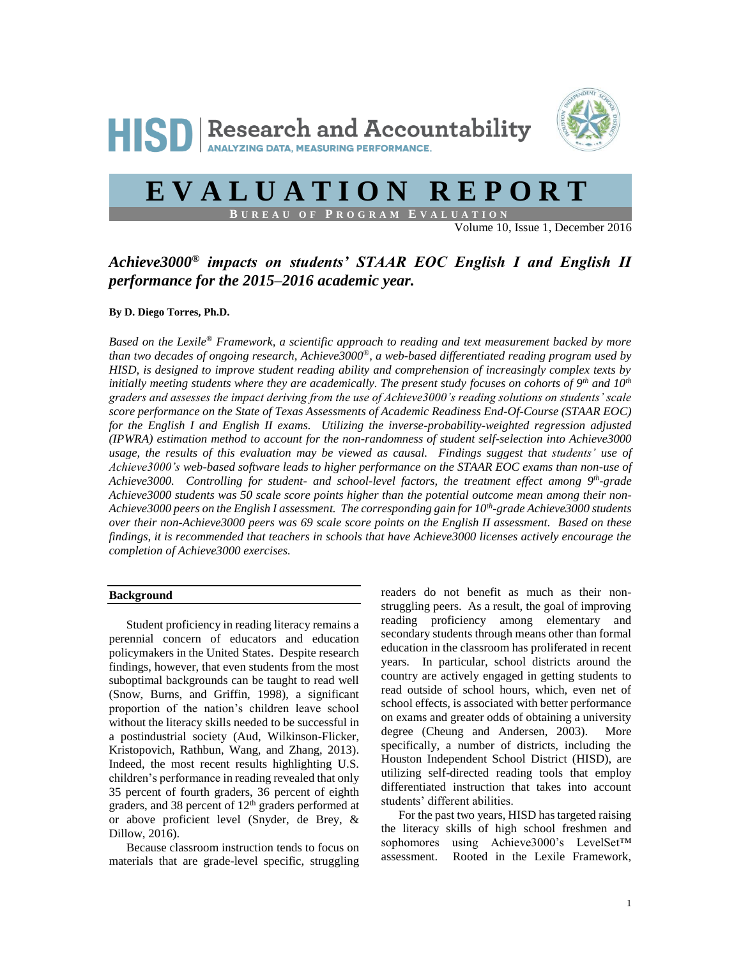



# **E V A L U A T I O N R E P O R T**

**B U R E A U O F P R O G R A M E V A L U A T I O N**

Volume 10, Issue 1, December 2016

# *Achieve3000® impacts on students' STAAR EOC English I and English II performance for the 2015–2016 academic year.*

#### **By D. Diego Torres, Ph.D.**

*Based on the Lexile® Framework, a scientific approach to reading and text measurement backed by more than two decades of ongoing research, Achieve3000®, a web-based differentiated reading program used by HISD, is designed to improve student reading ability and comprehension of increasingly complex texts by initially meeting students where they are academically. The present study focuses on cohorts of 9 th and 10th graders and assesses the impact deriving from the use of Achieve3000's reading solutions on students' scale score performance on the State of Texas Assessments of Academic Readiness End-Of-Course (STAAR EOC) for the English I and English II exams. Utilizing the inverse-probability-weighted regression adjusted (IPWRA) estimation method to account for the non-randomness of student self-selection into Achieve3000 usage, the results of this evaluation may be viewed as causal. Findings suggest that students' use of Achieve3000's web-based software leads to higher performance on the STAAR EOC exams than non-use of Achieve3000. Controlling for student- and school-level factors, the treatment effect among 9 th -grade Achieve3000 students was 50 scale score points higher than the potential outcome mean among their non-Achieve3000 peers on the English I assessment. The corresponding gain for 10th -grade Achieve3000 students over their non-Achieve3000 peers was 69 scale score points on the English II assessment. Based on these findings, it is recommended that teachers in schools that have Achieve3000 licenses actively encourage the completion of Achieve3000 exercises.*

### **Background**

Student proficiency in reading literacy remains a perennial concern of educators and education policymakers in the United States. Despite research findings, however, that even students from the most suboptimal backgrounds can be taught to read well (Snow, Burns, and Griffin, 1998), a significant proportion of the nation's children leave school without the literacy skills needed to be successful in a postindustrial society (Aud, Wilkinson-Flicker, Kristopovich, Rathbun, Wang, and Zhang, 2013). Indeed, the most recent results highlighting U.S. children's performance in reading revealed that only 35 percent of fourth graders, 36 percent of eighth graders, and 38 percent of 12th graders performed at or above proficient level (Snyder, de Brey, & Dillow, 2016).

Because classroom instruction tends to focus on materials that are grade-level specific, struggling readers do not benefit as much as their nonstruggling peers. As a result, the goal of improving reading proficiency among elementary and secondary students through means other than formal education in the classroom has proliferated in recent years. In particular, school districts around the country are actively engaged in getting students to read outside of school hours, which, even net of school effects, is associated with better performance on exams and greater odds of obtaining a university degree (Cheung and Andersen, 2003). More specifically, a number of districts, including the Houston Independent School District (HISD), are utilizing self-directed reading tools that employ differentiated instruction that takes into account students' different abilities.

For the past two years, HISD has targeted raising the literacy skills of high school freshmen and sophomores using Achieve3000's LevelSet™ assessment. Rooted in the Lexile Framework,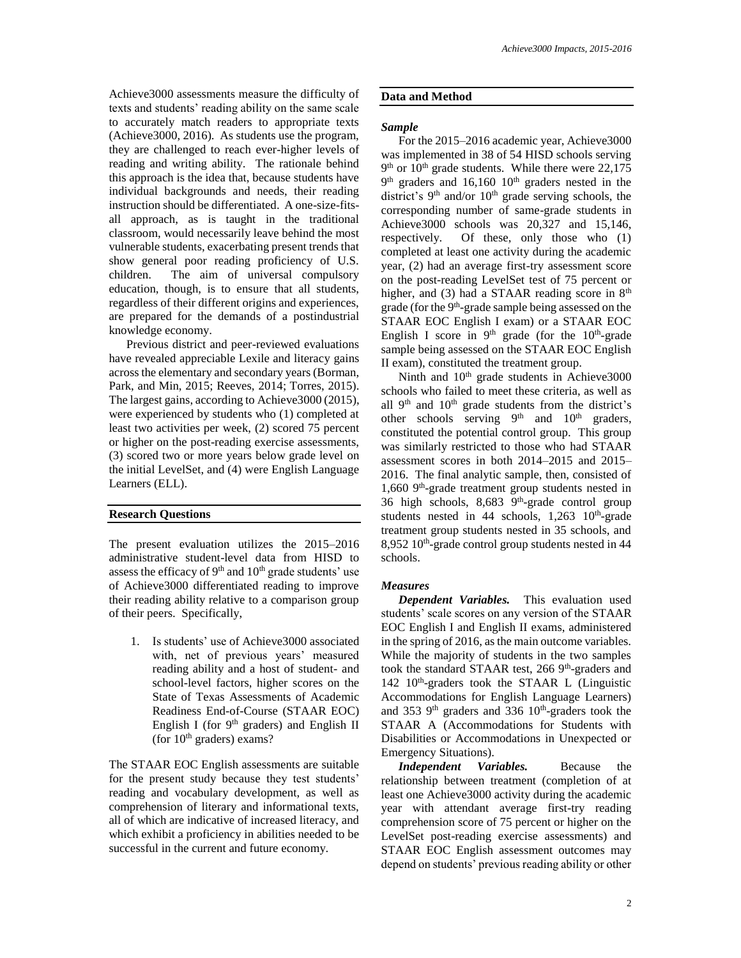Achieve3000 assessments measure the difficulty of texts and students' reading ability on the same scale to accurately match readers to appropriate texts (Achieve3000, 2016). As students use the program, they are challenged to reach ever-higher levels of reading and writing ability. The rationale behind this approach is the idea that, because students have individual backgrounds and needs, their reading instruction should be differentiated. A one-size-fitsall approach, as is taught in the traditional classroom, would necessarily leave behind the most vulnerable students, exacerbating present trends that show general poor reading proficiency of U.S. children. The aim of universal compulsory education, though, is to ensure that all students, regardless of their different origins and experiences, are prepared for the demands of a postindustrial knowledge economy.

Previous district and peer-reviewed evaluations have revealed appreciable Lexile and literacy gains across the elementary and secondary years (Borman, Park, and Min, 2015; Reeves, 2014; Torres, 2015). The largest gains, according to Achieve3000 (2015), were experienced by students who (1) completed at least two activities per week, (2) scored 75 percent or higher on the post-reading exercise assessments, (3) scored two or more years below grade level on the initial LevelSet, and (4) were English Language Learners (ELL).

# **Research Questions**

The present evaluation utilizes the 2015–2016 administrative student-level data from HISD to assess the efficacy of  $9<sup>th</sup>$  and  $10<sup>th</sup>$  grade students' use of Achieve3000 differentiated reading to improve their reading ability relative to a comparison group of their peers. Specifically,

1. Is students' use of Achieve3000 associated with, net of previous years' measured reading ability and a host of student- and school-level factors, higher scores on the State of Texas Assessments of Academic Readiness End-of-Course (STAAR EOC) English I (for  $9<sup>th</sup>$  graders) and English II (for  $10<sup>th</sup>$  graders) exams?

The STAAR EOC English assessments are suitable for the present study because they test students' reading and vocabulary development, as well as comprehension of literary and informational texts, all of which are indicative of increased literacy, and which exhibit a proficiency in abilities needed to be successful in the current and future economy.

# **Data and Method**

## *Sample*

For the 2015–2016 academic year, Achieve3000 was implemented in 38 of 54 HISD schools serving 9<sup>th</sup> or 10<sup>th</sup> grade students. While there were 22,175  $9<sup>th</sup>$  graders and 16,160 10<sup>th</sup> graders nested in the district's  $9<sup>th</sup>$  and/or  $10<sup>th</sup>$  grade serving schools, the corresponding number of same-grade students in Achieve3000 schools was 20,327 and 15,146, respectively. Of these, only those who (1) completed at least one activity during the academic year, (2) had an average first-try assessment score on the post-reading LevelSet test of 75 percent or higher, and (3) had a STAAR reading score in  $8<sup>th</sup>$ grade (for the 9<sup>th</sup>-grade sample being assessed on the STAAR EOC English I exam) or a STAAR EOC English I score in  $9<sup>th</sup>$  grade (for the  $10<sup>th</sup>$ -grade sample being assessed on the STAAR EOC English II exam), constituted the treatment group.

Ninth and 10<sup>th</sup> grade students in Achieve3000 schools who failed to meet these criteria, as well as all  $9<sup>th</sup>$  and  $10<sup>th</sup>$  grade students from the district's other schools serving  $9<sup>th</sup>$  and  $10<sup>th</sup>$  graders, constituted the potential control group. This group was similarly restricted to those who had STAAR assessment scores in both 2014–2015 and 2015– 2016. The final analytic sample, then, consisted of 1,660 9 th -grade treatment group students nested in 36 high schools, 8,683 9<sup>th</sup>-grade control group students nested in  $44$  schools,  $1,263$   $10^{th}$ -grade treatment group students nested in 35 schools, and 8,952 10<sup>th</sup>-grade control group students nested in 44 schools.

# *Measures*

*Dependent Variables.* This evaluation used students' scale scores on any version of the STAAR EOC English I and English II exams, administered in the spring of 2016, as the main outcome variables. While the majority of students in the two samples took the standard STAAR test, 266 9<sup>th</sup>-graders and 142 10<sup>th</sup>-graders took the STAAR L (Linguistic Accommodations for English Language Learners) and 353  $9<sup>th</sup>$  graders and 336  $10<sup>th</sup>$ -graders took the STAAR A (Accommodations for Students with Disabilities or Accommodations in Unexpected or Emergency Situations).

*Independent Variables.* Because the relationship between treatment (completion of at least one Achieve3000 activity during the academic year with attendant average first-try reading comprehension score of 75 percent or higher on the LevelSet post-reading exercise assessments) and STAAR EOC English assessment outcomes may depend on students' previous reading ability or other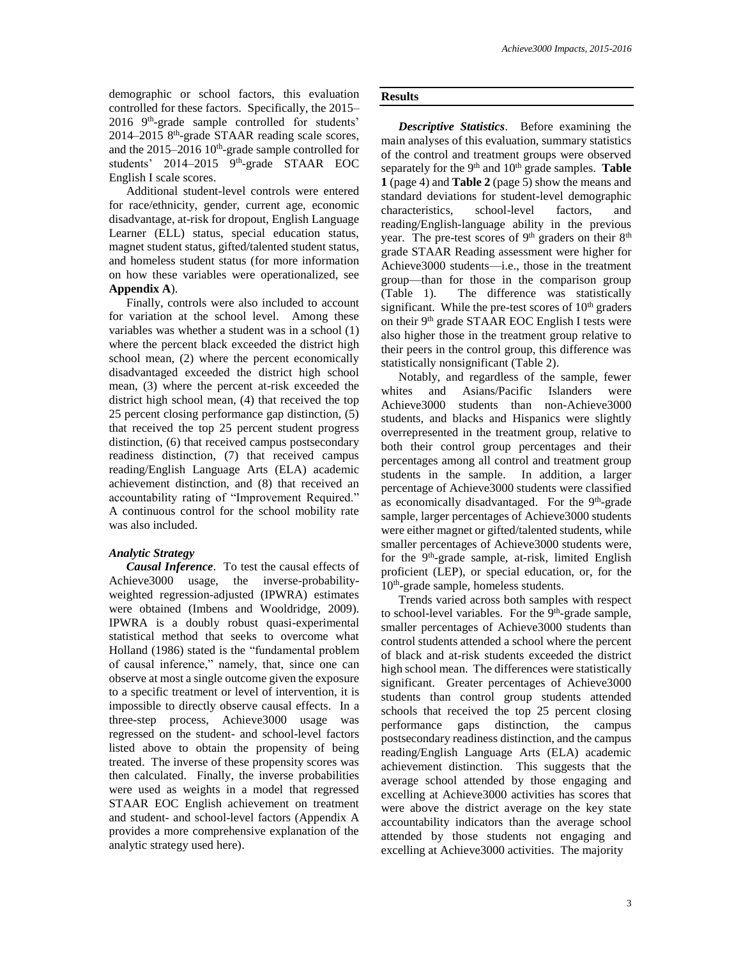demographic or school factors, this evaluation controlled for these factors. Specifically, the 2015– 2016 9<sup>th</sup>-grade sample controlled for students' 2014-2015 8<sup>th</sup>-grade STAAR reading scale scores, and the  $2015-2016$   $10<sup>th</sup>$ -grade sample controlled for students' 2014–2015 9<sup>th</sup>-grade STAAR EOC English I scale scores.

Additional student-level controls were entered for race/ethnicity, gender, current age, economic disadvantage, at-risk for dropout, English Language Learner (ELL) status, special education status, magnet student status, gifted/talented student status, and homeless student status (for more information on how these variables were operationalized, see **Appendix A**).

Finally, controls were also included to account for variation at the school level. Among these variables was whether a student was in a school (1) where the percent black exceeded the district high school mean, (2) where the percent economically disadvantaged exceeded the district high school mean, (3) where the percent at-risk exceeded the district high school mean, (4) that received the top 25 percent closing performance gap distinction, (5) that received the top 25 percent student progress distinction, (6) that received campus postsecondary readiness distinction, (7) that received campus reading/English Language Arts (ELA) academic achievement distinction, and (8) that received an accountability rating of "Improvement Required." A continuous control for the school mobility rate was also included.

# *Analytic Strategy*

*Causal Inference*. To test the causal effects of Achieve3000 usage, the inverse-probabilityweighted regression-adjusted (IPWRA) estimates were obtained (Imbens and Wooldridge, 2009). IPWRA is a doubly robust quasi-experimental statistical method that seeks to overcome what Holland (1986) stated is the "fundamental problem of causal inference," namely, that, since one can observe at most a single outcome given the exposure to a specific treatment or level of intervention, it is impossible to directly observe causal effects. In a three-step process, Achieve3000 usage was regressed on the student- and school-level factors listed above to obtain the propensity of being treated. The inverse of these propensity scores was then calculated. Finally, the inverse probabilities were used as weights in a model that regressed STAAR EOC English achievement on treatment and student- and school-level factors (Appendix A provides a more comprehensive explanation of the analytic strategy used here).

# **Results**

*Descriptive Statistics*. Before examining the main analyses of this evaluation, summary statistics of the control and treatment groups were observed separately for the 9<sup>th</sup> and 10<sup>th</sup> grade samples. Table **1** (page 4) and **Table 2** (page 5) show the means and standard deviations for student-level demographic characteristics, school-level factors, and reading/English-language ability in the previous year. The pre-test scores of 9<sup>th</sup> graders on their 8<sup>th</sup> grade STAAR Reading assessment were higher for Achieve3000 students—i.e., those in the treatment group—than for those in the comparison group (Table 1). The difference was statistically significant. While the pre-test scores of  $10<sup>th</sup>$  graders on their 9<sup>th</sup> grade STAAR EOC English I tests were also higher those in the treatment group relative to their peers in the control group, this difference was statistically nonsignificant (Table 2).

Notably, and regardless of the sample, fewer whites and Asians/Pacific Islanders were Achieve3000 students than non-Achieve3000 students, and blacks and Hispanics were slightly overrepresented in the treatment group, relative to both their control group percentages and their percentages among all control and treatment group students in the sample. In addition, a larger percentage of Achieve3000 students were classified as economically disadvantaged. For the 9<sup>th</sup>-grade sample, larger percentages of Achieve3000 students were either magnet or gifted/talented students, while smaller percentages of Achieve3000 students were, for the 9<sup>th</sup>-grade sample, at-risk, limited English proficient (LEP), or special education, or, for the 10th -grade sample, homeless students.

Trends varied across both samples with respect to school-level variables. For the 9<sup>th</sup>-grade sample, smaller percentages of Achieve3000 students than control students attended a school where the percent of black and at-risk students exceeded the district high school mean. The differences were statistically significant. Greater percentages of Achieve3000 students than control group students attended schools that received the top 25 percent closing performance gaps distinction, the campus postsecondary readiness distinction, and the campus reading/English Language Arts (ELA) academic achievement distinction. This suggests that the average school attended by those engaging and excelling at Achieve3000 activities has scores that were above the district average on the key state accountability indicators than the average school attended by those students not engaging and excelling at Achieve3000 activities. The majority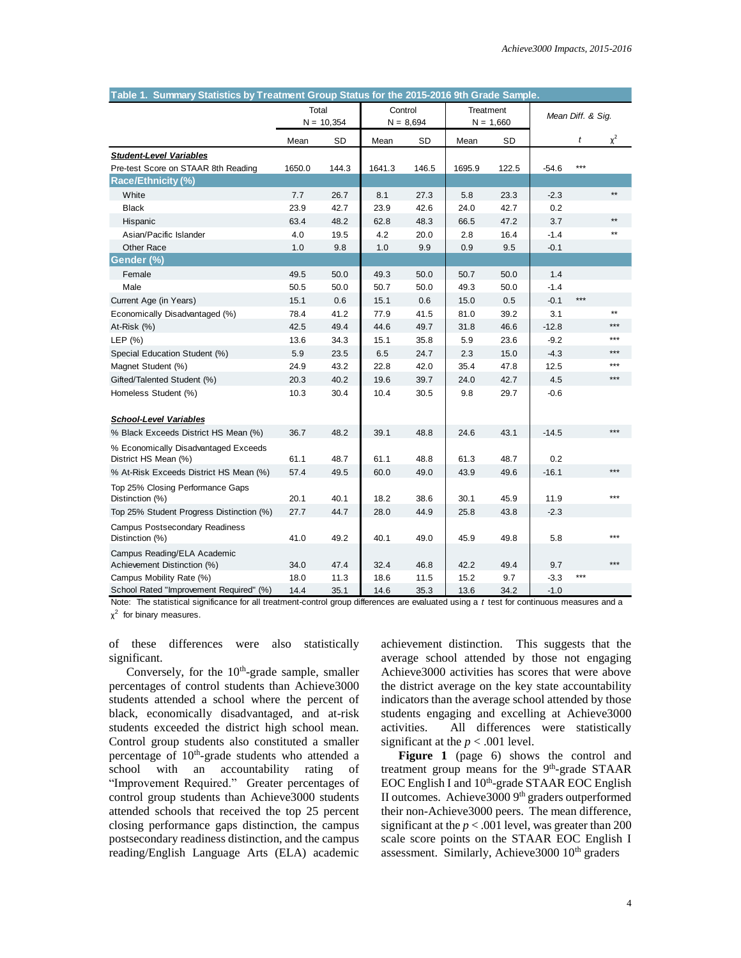| Table 1. Summary Statistics by Treatment Group Status for the 2015-2016 9th Grade Sample. |                       |       |                        |       |                          |       |                   |       |              |
|-------------------------------------------------------------------------------------------|-----------------------|-------|------------------------|-------|--------------------------|-------|-------------------|-------|--------------|
|                                                                                           | Total<br>$N = 10,354$ |       | Control<br>$N = 8,694$ |       | Treatment<br>$N = 1,660$ |       | Mean Diff. & Sig. |       |              |
|                                                                                           | Mean                  | SD    | Mean                   | SD    | Mean                     | SD    |                   | t     | $\chi^2$     |
| <b>Student-Level Variables</b>                                                            |                       |       |                        |       |                          |       |                   |       |              |
| Pre-test Score on STAAR 8th Reading                                                       | 1650.0                | 144.3 | 1641.3                 | 146.5 | 1695.9                   | 122.5 | $-54.6$           | $***$ |              |
| <b>Race/Ethnicity (%)</b>                                                                 |                       |       |                        |       |                          |       |                   |       |              |
| White                                                                                     | 7.7                   | 26.7  | 8.1                    | 27.3  | 5.8                      | 23.3  | $-2.3$            |       | $\star\star$ |
| <b>Black</b>                                                                              | 23.9                  | 42.7  | 23.9                   | 42.6  | 24.0                     | 42.7  | 0.2               |       |              |
| Hispanic                                                                                  | 63.4                  | 48.2  | 62.8                   | 48.3  | 66.5                     | 47.2  | 3.7               |       | $\star\star$ |
| Asian/Pacific Islander                                                                    | 4.0                   | 19.5  | 4.2                    | 20.0  | 2.8                      | 16.4  | $-1.4$            |       | $\star\star$ |
| Other Race                                                                                | 1.0                   | 9.8   | 1.0                    | 9.9   | 0.9                      | 9.5   | $-0.1$            |       |              |
| Gender (%)                                                                                |                       |       |                        |       |                          |       |                   |       |              |
| Female                                                                                    | 49.5                  | 50.0  | 49.3                   | 50.0  | 50.7                     | 50.0  | 1.4               |       |              |
| Male                                                                                      | 50.5                  | 50.0  | 50.7                   | 50.0  | 49.3                     | 50.0  | $-1.4$            |       |              |
| Current Age (in Years)                                                                    | 15.1                  | 0.6   | 15.1                   | 0.6   | 15.0                     | 0.5   | $-0.1$            | $***$ |              |
| Economically Disadvantaged (%)                                                            | 78.4                  | 41.2  | 77.9                   | 41.5  | 81.0                     | 39.2  | 3.1               |       | $\star\star$ |
| At-Risk (%)                                                                               | 42.5                  | 49.4  | 44.6                   | 49.7  | 31.8                     | 46.6  | $-12.8$           |       | $***$        |
| LEP $(% )$                                                                                | 13.6                  | 34.3  | 15.1                   | 35.8  | 5.9                      | 23.6  | $-9.2$            |       | $***$        |
| Special Education Student (%)                                                             | 5.9                   | 23.5  | 6.5                    | 24.7  | 2.3                      | 15.0  | $-4.3$            |       | ***          |
| Magnet Student (%)                                                                        | 24.9                  | 43.2  | 22.8                   | 42.0  | 35.4                     | 47.8  | 12.5              |       | ***          |
| Gifted/Talented Student (%)                                                               | 20.3                  | 40.2  | 19.6                   | 39.7  | 24.0                     | 42.7  | 4.5               |       | $***$        |
| Homeless Student (%)                                                                      | 10.3                  | 30.4  | 10.4                   | 30.5  | 9.8                      | 29.7  | $-0.6$            |       |              |
| <b>School-Level Variables</b>                                                             |                       |       |                        |       |                          |       |                   |       |              |
| % Black Exceeds District HS Mean (%)                                                      | 36.7                  | 48.2  | 39.1                   | 48.8  | 24.6                     | 43.1  | $-14.5$           |       | $***$        |
| % Economically Disadvantaged Exceeds<br>District HS Mean (%)                              | 61.1                  | 48.7  | 61.1                   | 48.8  | 61.3                     | 48.7  | 0.2               |       |              |
| % At-Risk Exceeds District HS Mean (%)                                                    | 57.4                  | 49.5  | 60.0                   | 49.0  | 43.9                     | 49.6  | $-16.1$           |       | $***$        |
| Top 25% Closing Performance Gaps<br>Distinction (%)                                       | 20.1                  | 40.1  | 18.2                   | 38.6  | 30.1                     | 45.9  | 11.9              |       | ***          |
| Top 25% Student Progress Distinction (%)                                                  | 27.7                  | 44.7  | 28.0                   | 44.9  | 25.8                     | 43.8  | $-2.3$            |       |              |
|                                                                                           |                       |       |                        |       |                          |       |                   |       |              |
| Campus Postsecondary Readiness<br>Distinction (%)                                         | 41.0                  | 49.2  | 40.1                   | 49.0  | 45.9                     | 49.8  | 5.8               |       | $***$        |
| Campus Reading/ELA Academic<br>Achievement Distinction (%)                                | 34.0                  | 47.4  | 32.4                   | 46.8  | 42.2                     | 49.4  | 9.7               |       | ***          |
| Campus Mobility Rate (%)                                                                  | 18.0                  | 11.3  | 18.6                   | 11.5  | 15.2                     | 9.7   | $-3.3$            | ***   |              |
| School Rated "Improvement Required" (%)                                                   | 14.4                  | 35.1  | 14.6                   | 35.3  | 13.6                     | 34.2  | $-1.0$            |       |              |

Note: The statistical significance for all treatment-control group differences are evaluated using a *t* test for continuous measures and a χ 2 for binary measures.

of these differences were also statistically significant.

Conversely, for the  $10<sup>th</sup>$ -grade sample, smaller percentages of control students than Achieve3000 students attended a school where the percent of black, economically disadvantaged, and at-risk students exceeded the district high school mean. Control group students also constituted a smaller percentage of  $10<sup>th</sup>$ -grade students who attended a school with an accountability rating of "Improvement Required." Greater percentages of control group students than Achieve3000 students attended schools that received the top 25 percent closing performance gaps distinction, the campus postsecondary readiness distinction, and the campus reading/English Language Arts (ELA) academic

achievement distinction. This suggests that the average school attended by those not engaging Achieve3000 activities has scores that were above the district average on the key state accountability indicators than the average school attended by those students engaging and excelling at Achieve3000 activities. All differences were statistically significant at the  $p < .001$  level.

Figure 1 (page 6) shows the control and treatment group means for the 9<sup>th</sup>-grade STAAR EOC English I and  $10^{th}$ -grade STAAR EOC English II outcomes. Achieve3000 9<sup>th</sup> graders outperformed their non-Achieve3000 peers. The mean difference, significant at the  $p < .001$  level, was greater than 200 scale score points on the STAAR EOC English I assessment. Similarly, Achieve3000 10<sup>th</sup> graders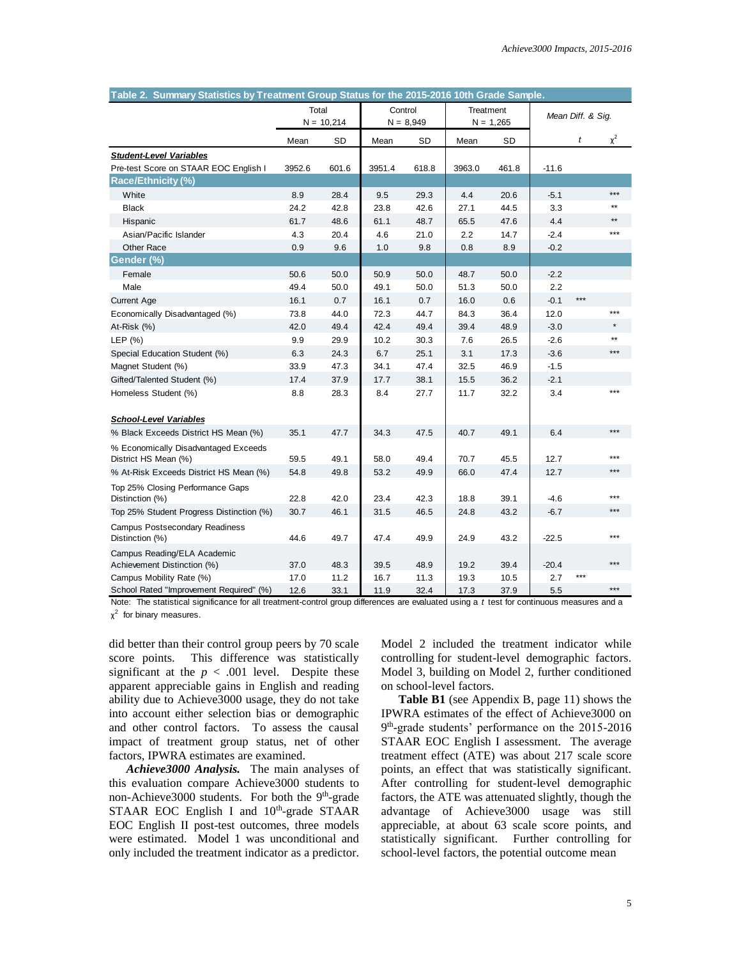| Table 2. Summary Statistics by Treatment Group Status for the 2015-2016 10th Grade Sample. |                       |       |                        |       |                          |       |                   |       |              |
|--------------------------------------------------------------------------------------------|-----------------------|-------|------------------------|-------|--------------------------|-------|-------------------|-------|--------------|
|                                                                                            | Total<br>$N = 10,214$ |       | Control<br>$N = 8,949$ |       | Treatment<br>$N = 1,265$ |       | Mean Diff. & Sig. |       |              |
|                                                                                            | Mean                  | SD    | Mean                   | SD    | Mean                     | SD    |                   | t     | $\chi^2$     |
| <b>Student-Level Variables</b>                                                             |                       |       |                        |       |                          |       |                   |       |              |
| Pre-test Score on STAAR EOC English I                                                      | 3952.6                | 601.6 | 3951.4                 | 618.8 | 3963.0                   | 461.8 | $-11.6$           |       |              |
| <b>Race/Ethnicity (%)</b>                                                                  |                       |       |                        |       |                          |       |                   |       |              |
| White                                                                                      | 8.9                   | 28.4  | 9.5                    | 29.3  | 4.4                      | 20.6  | $-5.1$            |       | $***$        |
| <b>Black</b>                                                                               | 24.2                  | 42.8  | 23.8                   | 42.6  | 27.1                     | 44.5  | 3.3               |       | **           |
| Hispanic                                                                                   | 61.7                  | 48.6  | 61.1                   | 48.7  | 65.5                     | 47.6  | 4.4               |       | $**$         |
| Asian/Pacific Islander                                                                     | 4.3                   | 20.4  | 4.6                    | 21.0  | 2.2                      | 14.7  | $-2.4$            |       | $***$        |
| Other Race                                                                                 | 0.9                   | 9.6   | 1.0                    | 9.8   | 0.8                      | 8.9   | $-0.2$            |       |              |
| Gender (%)                                                                                 |                       |       |                        |       |                          |       |                   |       |              |
| Female                                                                                     | 50.6                  | 50.0  | 50.9                   | 50.0  | 48.7                     | 50.0  | $-2.2$            |       |              |
| Male                                                                                       | 49.4                  | 50.0  | 49.1                   | 50.0  | 51.3                     | 50.0  | 2.2               |       |              |
| <b>Current Age</b>                                                                         | 16.1                  | 0.7   | 16.1                   | 0.7   | 16.0                     | 0.6   | $-0.1$            | $***$ |              |
| Economically Disadvantaged (%)                                                             | 73.8                  | 44.0  | 72.3                   | 44.7  | 84.3                     | 36.4  | 12.0              |       | $***$        |
| At-Risk (%)                                                                                | 42.0                  | 49.4  | 42.4                   | 49.4  | 39.4                     | 48.9  | $-3.0$            |       |              |
| LEP (%)                                                                                    | 9.9                   | 29.9  | 10.2                   | 30.3  | 7.6                      | 26.5  | $-2.6$            |       | $\star\star$ |
| Special Education Student (%)                                                              | 6.3                   | 24.3  | 6.7                    | 25.1  | 3.1                      | 17.3  | $-3.6$            |       | $***$        |
| Magnet Student (%)                                                                         | 33.9                  | 47.3  | 34.1                   | 47.4  | 32.5                     | 46.9  | $-1.5$            |       |              |
| Gifted/Talented Student (%)                                                                | 17.4                  | 37.9  | 17.7                   | 38.1  | 15.5                     | 36.2  | $-2.1$            |       |              |
| Homeless Student (%)                                                                       | 8.8                   | 28.3  | 8.4                    | 27.7  | 11.7                     | 32.2  | 3.4               |       | ***          |
| <b>School-Level Variables</b>                                                              |                       |       |                        |       |                          |       |                   |       |              |
| % Black Exceeds District HS Mean (%)                                                       | 35.1                  | 47.7  | 34.3                   | 47.5  | 40.7                     | 49.1  | 6.4               |       | $***$        |
| % Economically Disadvantaged Exceeds<br>District HS Mean (%)                               | 59.5                  | 49.1  | 58.0                   | 49.4  | 70.7                     | 45.5  | 12.7              |       | ***          |
| % At-Risk Exceeds District HS Mean (%)                                                     | 54.8                  | 49.8  | 53.2                   | 49.9  | 66.0                     | 47.4  | 12.7              |       | $***$        |
| Top 25% Closing Performance Gaps<br>Distinction (%)                                        | 22.8                  | 42.0  | 23.4                   | 42.3  | 18.8                     | 39.1  | $-4.6$            |       | ***          |
| Top 25% Student Progress Distinction (%)                                                   | 30.7                  | 46.1  | 31.5                   | 46.5  | 24.8                     | 43.2  | $-6.7$            |       | ***          |
|                                                                                            |                       |       |                        |       |                          |       |                   |       |              |
| <b>Campus Postsecondary Readiness</b><br>Distinction (%)                                   | 44.6                  | 49.7  | 47.4                   | 49.9  | 24.9                     | 43.2  | $-22.5$           |       | $***$        |
| Campus Reading/ELA Academic<br>Achievement Distinction (%)                                 | 37.0                  | 48.3  | 39.5                   | 48.9  | 19.2                     | 39.4  | $-20.4$           |       | ***          |
| Campus Mobility Rate (%)                                                                   | 17.0                  | 11.2  | 16.7                   | 11.3  | 19.3                     | 10.5  | 2.7               | ***   |              |
| School Rated "Improvement Required" (%)                                                    | 12.6                  | 33.1  | 11.9                   | 32.4  | 17.3                     | 37.9  | 5.5               |       | $***$        |

Note: The statistical significance for all treatment-control group differences are evaluated using a *t* test for continuous measures and a χ 2 for binary measures.

did better than their control group peers by 70 scale score points. This difference was statistically significant at the  $p < .001$  level. Despite these apparent appreciable gains in English and reading ability due to Achieve3000 usage, they do not take into account either selection bias or demographic and other control factors. To assess the causal impact of treatment group status, net of other factors, IPWRA estimates are examined.

*Achieve3000 Analysis.* The main analyses of this evaluation compare Achieve3000 students to non-Achieve3000 students. For both the 9<sup>th</sup>-grade STAAR EOC English I and 10<sup>th</sup>-grade STAAR EOC English II post-test outcomes, three models were estimated. Model 1 was unconditional and only included the treatment indicator as a predictor.

Model 2 included the treatment indicator while controlling for student-level demographic factors. Model 3, building on Model 2, further conditioned on school-level factors.

**Table B1** (see Appendix B, page 11) shows the IPWRA estimates of the effect of Achieve3000 on 9 th -grade students' performance on the 2015-2016 STAAR EOC English I assessment. The average treatment effect (ATE) was about 217 scale score points, an effect that was statistically significant. After controlling for student-level demographic factors, the ATE was attenuated slightly, though the advantage of Achieve3000 usage was still appreciable, at about 63 scale score points, and statistically significant. Further controlling for school-level factors, the potential outcome mean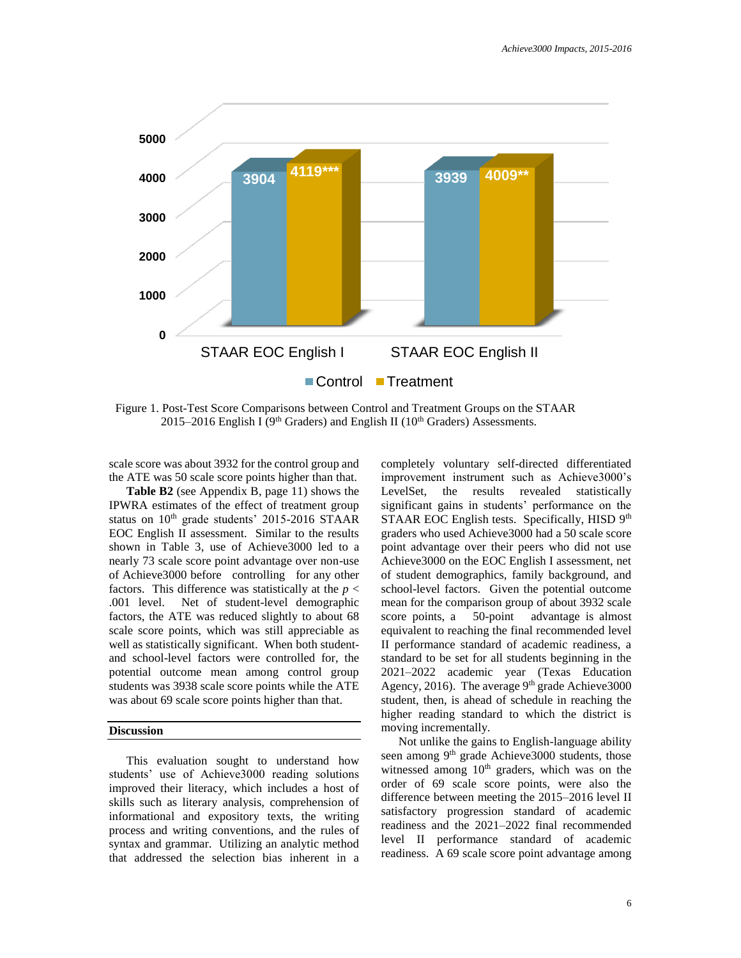

Figure 1. Post-Test Score Comparisons between Control and Treatment Groups on the STAAR 2015–2016 English I ( $9<sup>th</sup>$  Graders) and English II ( $10<sup>th</sup>$  Graders) Assessments.

scale score was about 3932 for the control group and the ATE was 50 scale score points higher than that.

**Table B2** (see Appendix B, page 11) shows the IPWRA estimates of the effect of treatment group status on 10<sup>th</sup> grade students' 2015-2016 STAAR EOC English II assessment. Similar to the results shown in Table 3, use of Achieve3000 led to a nearly 73 scale score point advantage over non-use of Achieve3000 before controlling for any other factors. This difference was statistically at the *p* < .001 level. Net of student-level demographic factors, the ATE was reduced slightly to about 68 scale score points, which was still appreciable as well as statistically significant. When both studentand school-level factors were controlled for, the potential outcome mean among control group students was 3938 scale score points while the ATE was about 69 scale score points higher than that.

## **Discussion**

This evaluation sought to understand how students' use of Achieve3000 reading solutions improved their literacy, which includes a host of skills such as literary analysis, comprehension of informational and expository texts, the writing process and writing conventions, and the rules of syntax and grammar. Utilizing an analytic method that addressed the selection bias inherent in a

completely voluntary self-directed differentiated improvement instrument such as Achieve3000's LevelSet, the results revealed statistically significant gains in students' performance on the STAAR EOC English tests. Specifically, HISD 9th graders who used Achieve3000 had a 50 scale score point advantage over their peers who did not use Achieve3000 on the EOC English I assessment, net of student demographics, family background, and school-level factors. Given the potential outcome mean for the comparison group of about 3932 scale score points, a 50-point advantage is almost equivalent to reaching the final recommended level II performance standard of academic readiness, a standard to be set for all students beginning in the 2021–2022 academic year (Texas Education Agency, 2016). The average  $9<sup>th</sup>$  grade Achieve3000 student, then, is ahead of schedule in reaching the higher reading standard to which the district is moving incrementally.

Not unlike the gains to English-language ability seen among 9<sup>th</sup> grade Achieve3000 students, those witnessed among  $10<sup>th</sup>$  graders, which was on the order of 69 scale score points, were also the difference between meeting the 2015–2016 level II satisfactory progression standard of academic readiness and the 2021–2022 final recommended level II performance standard of academic readiness. A 69 scale score point advantage among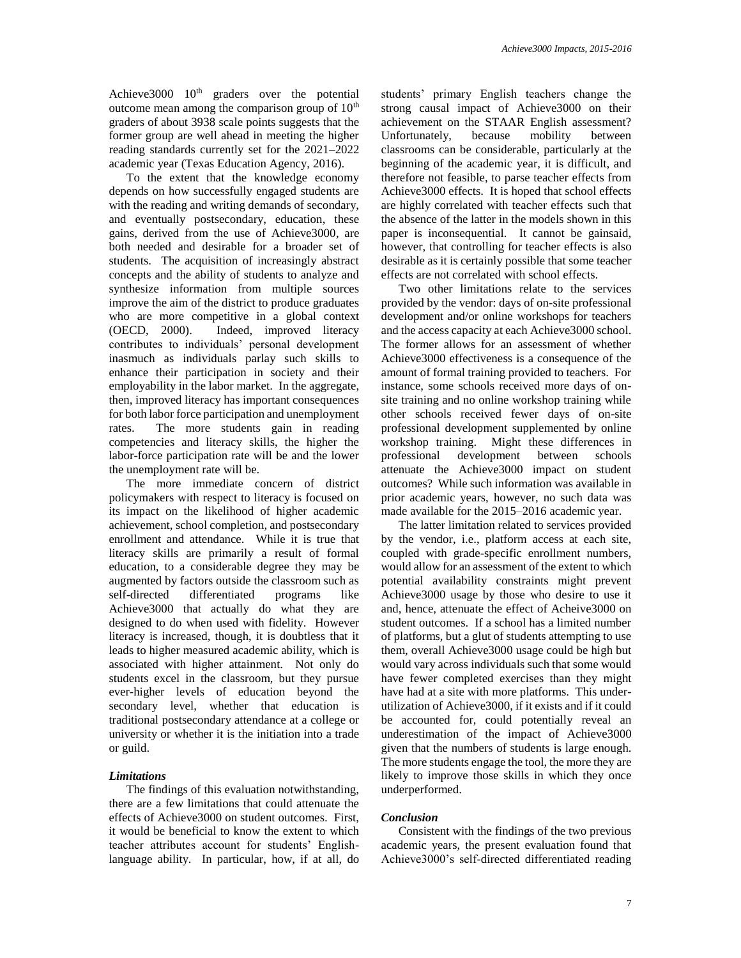Achieve $3000$   $10<sup>th</sup>$  graders over the potential outcome mean among the comparison group of  $10<sup>th</sup>$ graders of about 3938 scale points suggests that the former group are well ahead in meeting the higher reading standards currently set for the 2021–2022 academic year (Texas Education Agency, 2016).

To the extent that the knowledge economy depends on how successfully engaged students are with the reading and writing demands of secondary, and eventually postsecondary, education, these gains, derived from the use of Achieve3000, are both needed and desirable for a broader set of students. The acquisition of increasingly abstract concepts and the ability of students to analyze and synthesize information from multiple sources improve the aim of the district to produce graduates who are more competitive in a global context (OECD, 2000). Indeed, improved literacy contributes to individuals' personal development inasmuch as individuals parlay such skills to enhance their participation in society and their employability in the labor market. In the aggregate, then, improved literacy has important consequences for both labor force participation and unemployment rates. The more students gain in reading competencies and literacy skills, the higher the labor-force participation rate will be and the lower the unemployment rate will be.

The more immediate concern of district policymakers with respect to literacy is focused on its impact on the likelihood of higher academic achievement, school completion, and postsecondary enrollment and attendance. While it is true that literacy skills are primarily a result of formal education, to a considerable degree they may be augmented by factors outside the classroom such as self-directed differentiated programs like Achieve3000 that actually do what they are designed to do when used with fidelity. However literacy is increased, though, it is doubtless that it leads to higher measured academic ability, which is associated with higher attainment. Not only do students excel in the classroom, but they pursue ever-higher levels of education beyond the secondary level, whether that education is traditional postsecondary attendance at a college or university or whether it is the initiation into a trade or guild.

# *Limitations*

The findings of this evaluation notwithstanding, there are a few limitations that could attenuate the effects of Achieve3000 on student outcomes. First, it would be beneficial to know the extent to which teacher attributes account for students' Englishlanguage ability. In particular, how, if at all, do students' primary English teachers change the strong causal impact of Achieve3000 on their achievement on the STAAR English assessment? Unfortunately, because mobility between classrooms can be considerable, particularly at the beginning of the academic year, it is difficult, and therefore not feasible, to parse teacher effects from Achieve3000 effects. It is hoped that school effects are highly correlated with teacher effects such that the absence of the latter in the models shown in this paper is inconsequential. It cannot be gainsaid, however, that controlling for teacher effects is also desirable as it is certainly possible that some teacher effects are not correlated with school effects.

Two other limitations relate to the services provided by the vendor: days of on-site professional development and/or online workshops for teachers and the access capacity at each Achieve3000 school. The former allows for an assessment of whether Achieve3000 effectiveness is a consequence of the amount of formal training provided to teachers. For instance, some schools received more days of onsite training and no online workshop training while other schools received fewer days of on-site professional development supplemented by online workshop training. Might these differences in professional development between schools attenuate the Achieve3000 impact on student outcomes? While such information was available in prior academic years, however, no such data was made available for the 2015–2016 academic year.

The latter limitation related to services provided by the vendor, i.e., platform access at each site, coupled with grade-specific enrollment numbers, would allow for an assessment of the extent to which potential availability constraints might prevent Achieve3000 usage by those who desire to use it and, hence, attenuate the effect of Acheive3000 on student outcomes. If a school has a limited number of platforms, but a glut of students attempting to use them, overall Achieve3000 usage could be high but would vary across individuals such that some would have fewer completed exercises than they might have had at a site with more platforms. This underutilization of Achieve3000, if it exists and if it could be accounted for, could potentially reveal an underestimation of the impact of Achieve3000 given that the numbers of students is large enough. The more students engage the tool, the more they are likely to improve those skills in which they once underperformed.

# *Conclusion*

Consistent with the findings of the two previous academic years, the present evaluation found that Achieve3000's self-directed differentiated reading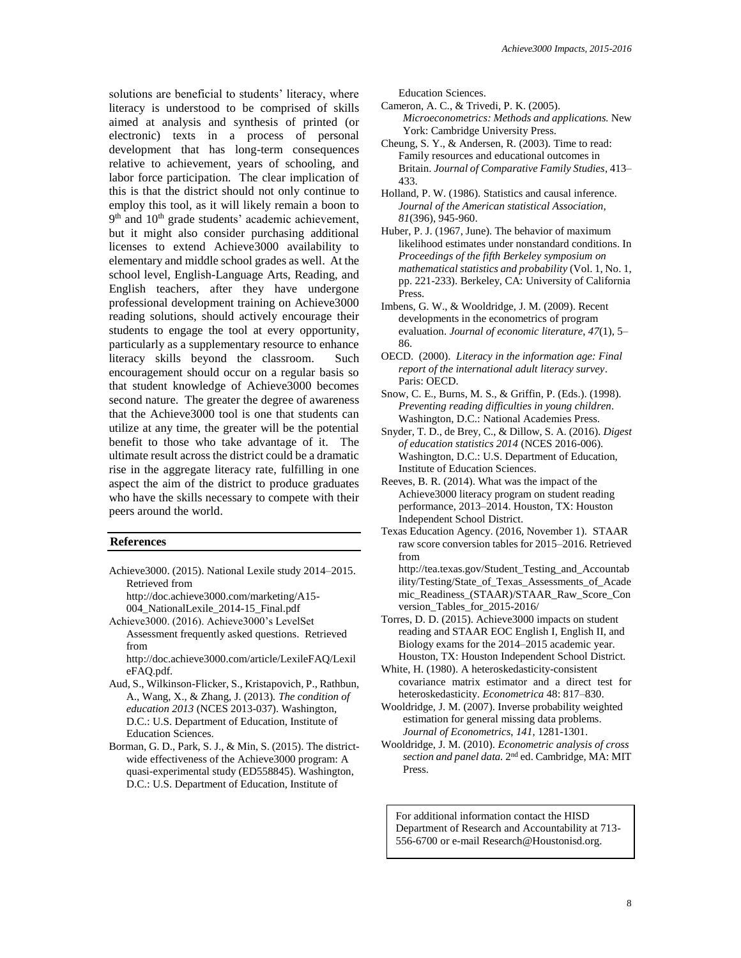solutions are beneficial to students' literacy, where literacy is understood to be comprised of skills aimed at analysis and synthesis of printed (or electronic) texts in a process of personal development that has long-term consequences relative to achievement, years of schooling, and labor force participation. The clear implication of this is that the district should not only continue to employ this tool, as it will likely remain a boon to 9<sup>th</sup> and 10<sup>th</sup> grade students' academic achievement, but it might also consider purchasing additional licenses to extend Achieve3000 availability to elementary and middle school grades as well. At the school level, English-Language Arts, Reading, and English teachers, after they have undergone professional development training on Achieve3000 reading solutions, should actively encourage their students to engage the tool at every opportunity, particularly as a supplementary resource to enhance literacy skills beyond the classroom. Such encouragement should occur on a regular basis so that student knowledge of Achieve3000 becomes second nature. The greater the degree of awareness that the Achieve3000 tool is one that students can utilize at any time, the greater will be the potential benefit to those who take advantage of it. The ultimate result across the district could be a dramatic rise in the aggregate literacy rate, fulfilling in one aspect the aim of the district to produce graduates who have the skills necessary to compete with their peers around the world.

#### **References**

- Achieve3000. (2015). National Lexile study 2014–2015. Retrieved from
	- http://doc.achieve3000.com/marketing/A15- 004\_NationalLexile\_2014-15\_Final.pdf
- Achieve3000. (2016). Achieve3000's LevelSet Assessment frequently asked questions. Retrieved from

http://doc.achieve3000.com/article/LexileFAQ/Lexil eFAQ.pdf.

- Aud, S., Wilkinson-Flicker, S., Kristapovich, P., Rathbun, A., Wang, X., & Zhang, J. (2013). *The condition of education 2013* (NCES 2013-037). Washington, D.C.: U.S. Department of Education, Institute of Education Sciences.
- Borman, G. D., Park, S. J., & Min, S. (2015). The districtwide effectiveness of the Achieve3000 program: A quasi-experimental study (ED558845). Washington, D.C.: U.S. Department of Education, Institute of

Education Sciences.

- Cameron, A. C., & Trivedi, P. K. (2005). *Microeconometrics: Methods and applications.* New York: Cambridge University Press.
- Cheung, S. Y., & Andersen, R. (2003). Time to read: Family resources and educational outcomes in Britain. *Journal of Comparative Family Studies*, 413– 433.
- Holland, P. W. (1986). Statistics and causal inference. *Journal of the American statistical Association*, *81*(396), 945-960.
- Huber, P. J. (1967, June). The behavior of maximum likelihood estimates under nonstandard conditions. In *Proceedings of the fifth Berkeley symposium on mathematical statistics and probability* (Vol. 1, No. 1, pp. 221-233). Berkeley, CA: University of California Press.
- Imbens, G. W., & Wooldridge, J. M. (2009). Recent developments in the econometrics of program evaluation. *Journal of economic literature*, *47*(1), 5– 86.
- OECD. (2000). *Literacy in the information age: Final report of the international adult literacy survey*. Paris: OECD.
- Snow, C. E., Burns, M. S., & Griffin, P. (Eds.). (1998). *Preventing reading difficulties in young children*. Washington, D.C.: National Academies Press.
- Snyder, T. D., de Brey, C., & Dillow, S. A. (2016). *Digest of education statistics 2014* (NCES 2016-006). Washington, D.C.: U.S. Department of Education, Institute of Education Sciences.
- Reeves, B. R. (2014). What was the impact of the Achieve3000 literacy program on student reading performance, 2013–2014. Houston, TX: Houston Independent School District.
- Texas Education Agency. (2016, November 1). STAAR raw score conversion tables for 2015–2016. Retrieved from
- http://tea.texas.gov/Student\_Testing\_and\_Accountab ility/Testing/State\_of\_Texas\_Assessments\_of\_Acade mic\_Readiness\_(STAAR)/STAAR\_Raw\_Score\_Con version\_Tables\_for\_2015-2016/
- Torres, D. D. (2015). Achieve3000 impacts on student reading and STAAR EOC English I, English II, and Biology exams for the 2014–2015 academic year. Houston, TX: Houston Independent School District.
- White, H. (1980). A heteroskedasticity-consistent covariance matrix estimator and a direct test for heteroskedasticity. *Econometrica* 48: 817–830.
- Wooldridge, J. M. (2007). Inverse probability weighted estimation for general missing data problems. *Journal of Econometrics*, *141*, 1281-1301.
- Wooldridge, J. M. (2010). *Econometric analysis of cross*  section and panel data. 2<sup>nd</sup> ed. Cambridge, MA: MIT Press.

For additional information contact the HISD Department of Research and Accountability at 713- 556-6700 or e-mail Research@Houstonisd.org.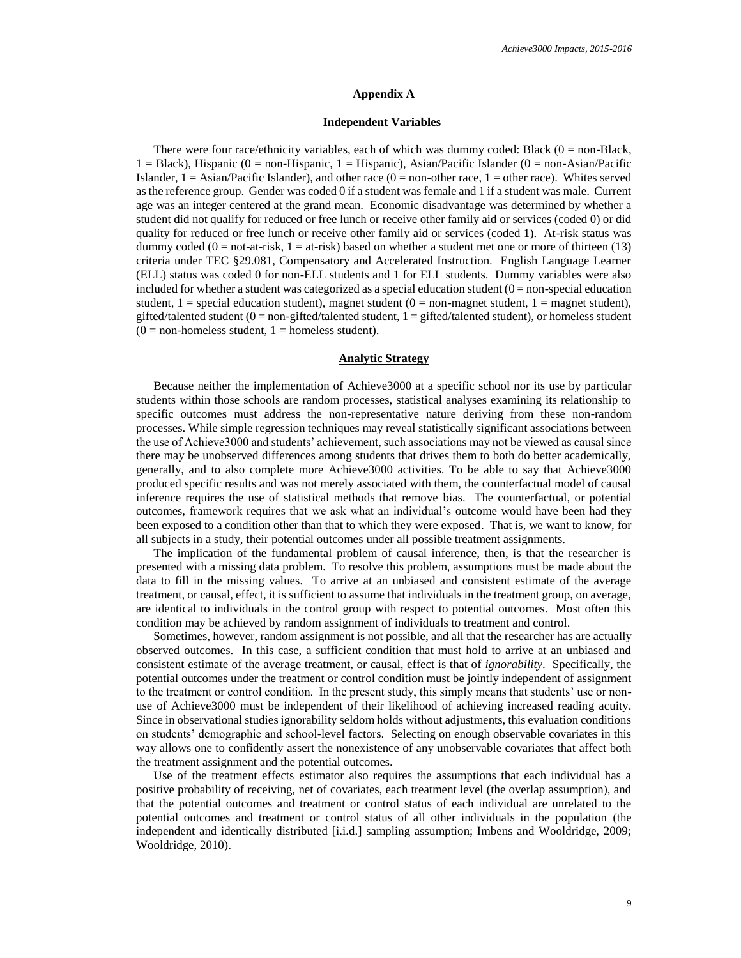#### **Appendix A**

#### **Independent Variables**

There were four race/ethnicity variables, each of which was dummy coded: Black  $(0 = non-Black,$  $1 = Black$ ), Hispanic (0 = non-Hispanic, 1 = Hispanic), Asian/Pacific Islander (0 = non-Asian/Pacific Islander,  $1 =$  Asian/Pacific Islander), and other race  $(0 =$  non-other race,  $1 =$  other race). Whites served as the reference group. Gender was coded 0 if a student was female and 1 if a student was male. Current age was an integer centered at the grand mean. Economic disadvantage was determined by whether a student did not qualify for reduced or free lunch or receive other family aid or services (coded 0) or did quality for reduced or free lunch or receive other family aid or services (coded 1). At-risk status was dummy coded  $(0 = not-at-risk, 1 = at-risk)$  based on whether a student met one or more of thirteen (13) criteria under TEC §29.081, Compensatory and Accelerated Instruction. English Language Learner (ELL) status was coded 0 for non-ELL students and 1 for ELL students. Dummy variables were also included for whether a student was categorized as a special education student  $(0 = non-special education)$ student,  $1 =$  special education student), magnet student  $(0 =$  non-magnet student,  $1 =$  magnet student), gifted/talented student ( $0 =$  non-gifted/talented student,  $1 =$  gifted/talented student), or homeless student  $(0 = non-homeless student, 1 = homeless student).$ 

#### **Analytic Strategy**

Because neither the implementation of Achieve3000 at a specific school nor its use by particular students within those schools are random processes, statistical analyses examining its relationship to specific outcomes must address the non-representative nature deriving from these non-random processes. While simple regression techniques may reveal statistically significant associations between the use of Achieve3000 and students' achievement, such associations may not be viewed as causal since there may be unobserved differences among students that drives them to both do better academically, generally, and to also complete more Achieve3000 activities. To be able to say that Achieve3000 produced specific results and was not merely associated with them, the counterfactual model of causal inference requires the use of statistical methods that remove bias. The counterfactual, or potential outcomes, framework requires that we ask what an individual's outcome would have been had they been exposed to a condition other than that to which they were exposed. That is, we want to know, for all subjects in a study, their potential outcomes under all possible treatment assignments.

The implication of the fundamental problem of causal inference, then, is that the researcher is presented with a missing data problem. To resolve this problem, assumptions must be made about the data to fill in the missing values. To arrive at an unbiased and consistent estimate of the average treatment, or causal, effect, it is sufficient to assume that individuals in the treatment group, on average, are identical to individuals in the control group with respect to potential outcomes. Most often this condition may be achieved by random assignment of individuals to treatment and control.

Sometimes, however, random assignment is not possible, and all that the researcher has are actually observed outcomes. In this case, a sufficient condition that must hold to arrive at an unbiased and consistent estimate of the average treatment, or causal, effect is that of *ignorability*. Specifically, the potential outcomes under the treatment or control condition must be jointly independent of assignment to the treatment or control condition. In the present study, this simply means that students' use or nonuse of Achieve3000 must be independent of their likelihood of achieving increased reading acuity. Since in observational studies ignorability seldom holds without adjustments, this evaluation conditions on students' demographic and school-level factors. Selecting on enough observable covariates in this way allows one to confidently assert the nonexistence of any unobservable covariates that affect both the treatment assignment and the potential outcomes.

Use of the treatment effects estimator also requires the assumptions that each individual has a positive probability of receiving, net of covariates, each treatment level (the overlap assumption), and that the potential outcomes and treatment or control status of each individual are unrelated to the potential outcomes and treatment or control status of all other individuals in the population (the independent and identically distributed [i.i.d.] sampling assumption; Imbens and Wooldridge, 2009; Wooldridge, 2010).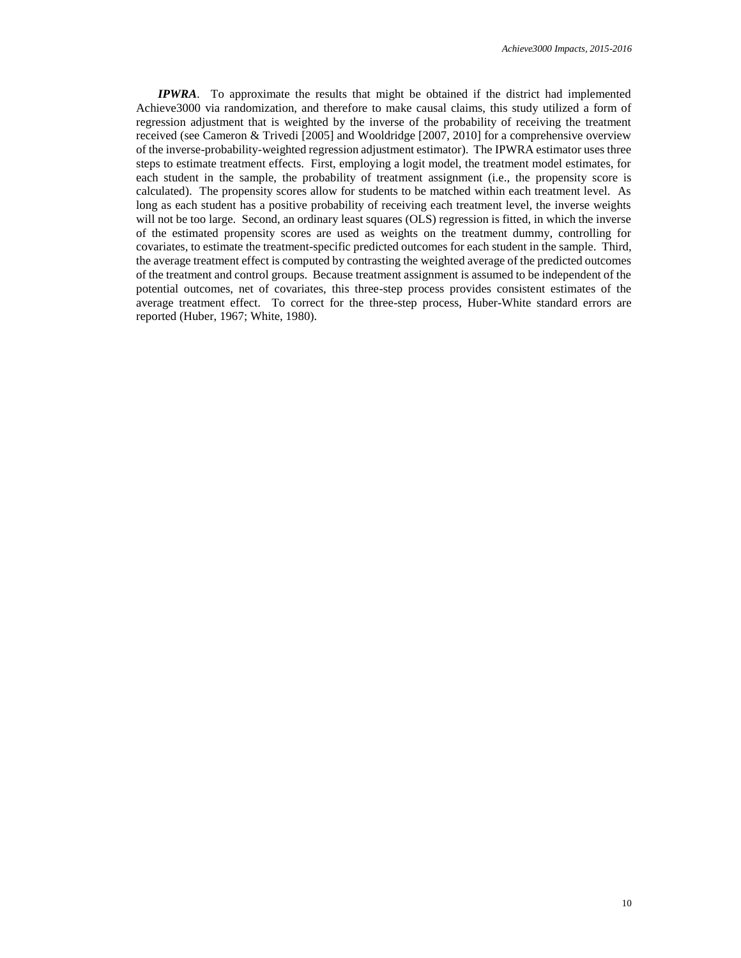*IPWRA*. To approximate the results that might be obtained if the district had implemented Achieve3000 via randomization, and therefore to make causal claims, this study utilized a form of regression adjustment that is weighted by the inverse of the probability of receiving the treatment received (see Cameron & Trivedi [2005] and Wooldridge [2007, 2010] for a comprehensive overview of the inverse-probability-weighted regression adjustment estimator). The IPWRA estimator uses three steps to estimate treatment effects. First, employing a logit model, the treatment model estimates, for each student in the sample, the probability of treatment assignment (i.e., the propensity score is calculated). The propensity scores allow for students to be matched within each treatment level. As long as each student has a positive probability of receiving each treatment level, the inverse weights will not be too large. Second, an ordinary least squares (OLS) regression is fitted, in which the inverse of the estimated propensity scores are used as weights on the treatment dummy, controlling for covariates, to estimate the treatment-specific predicted outcomes for each student in the sample. Third, the average treatment effect is computed by contrasting the weighted average of the predicted outcomes of the treatment and control groups. Because treatment assignment is assumed to be independent of the potential outcomes, net of covariates, this three-step process provides consistent estimates of the average treatment effect. To correct for the three-step process, Huber-White standard errors are reported (Huber, 1967; White, 1980).